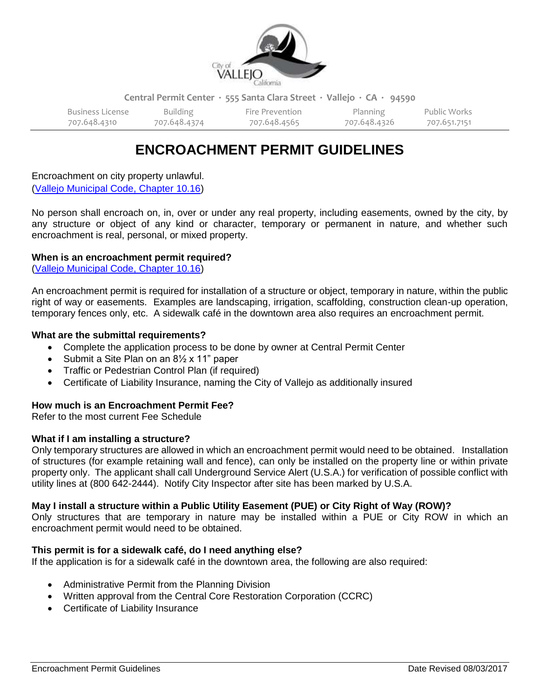

**Central Permit Center ∙ 555 Santa Clara Street ∙ Vallejo ∙ CA ∙ 94590**

| Business License | Building     | Fire Prevention | Planning     | Public Works |
|------------------|--------------|-----------------|--------------|--------------|
| 707.648.4310     | 707.648.4374 | 707.648.4565    | 707.648.4326 | 707.651.7151 |

# **ENCROACHMENT PERMIT GUIDELINES**

Encroachment on city property unlawful. [\(Vallejo Municipal Code, Chapter 10.16\)](https://library.municode.com/ca/vallejo/codes/code_of_ordinances?nodeId=TIT10STSI_CH10.16ENPR_10.16.010ENPRUN)

No person shall encroach on, in, over or under any real property, including easements, owned by the city, by any structure or object of any kind or character, temporary or permanent in nature, and whether such encroachment is real, personal, or mixed property.

## **When is an encroachment permit required?**

[\(Vallejo Municipal Code, Chapter 10.16\)](https://library.municode.com/ca/vallejo/codes/code_of_ordinances?nodeId=TIT10STSI_CH10.16ENPR_10.16.010ENPRUN)

An encroachment permit is required for installation of a structure or object, temporary in nature, within the public right of way or easements. Examples are landscaping, irrigation, scaffolding, construction clean-up operation, temporary fences only, etc. A sidewalk café in the downtown area also requires an encroachment permit.

#### **What are the submittal requirements?**

- Complete the application process to be done by owner at Central Permit Center
- Submit a Site Plan on an 8<sup>1</sup>/<sub>2</sub> x 11" paper
- Traffic or Pedestrian Control Plan (if required)
- Certificate of Liability Insurance, naming the City of Vallejo as additionally insured

## **How much is an Encroachment Permit Fee?**

Refer to the most current Fee Schedule

#### **What if I am installing a structure?**

Only temporary structures are allowed in which an encroachment permit would need to be obtained. Installation of structures (for example retaining wall and fence), can only be installed on the property line or within private property only. The applicant shall call Underground Service Alert (U.S.A.) for verification of possible conflict with utility lines at (800 642-2444). Notify City Inspector after site has been marked by U.S.A.

## **May I install a structure within a Public Utility Easement (PUE) or City Right of Way (ROW)?**

Only structures that are temporary in nature may be installed within a PUE or City ROW in which an encroachment permit would need to be obtained.

#### **This permit is for a sidewalk café, do I need anything else?**

If the application is for a sidewalk café in the downtown area, the following are also required:

- Administrative Permit from the Planning Division
- Written approval from the Central Core Restoration Corporation (CCRC)
- Certificate of Liability Insurance